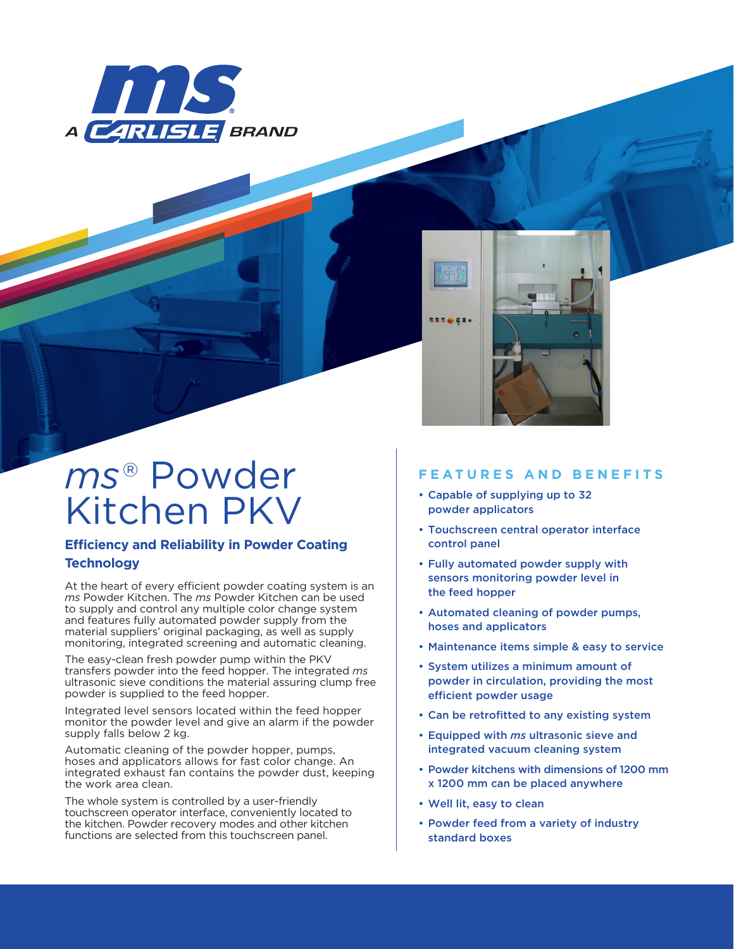



# *ms*® Powder Kitchen PKV

### **Efficiency and Reliability in Powder Coating Technology**

At the heart of every efficient powder coating system is an *ms* Powder Kitchen. The *ms* Powder Kitchen can be used to supply and control any multiple color change system and features fully automated powder supply from the material suppliers' original packaging, as well as supply monitoring, integrated screening and automatic cleaning.

The easy-clean fresh powder pump within the PKV transfers powder into the feed hopper. The integrated *ms* ultrasonic sieve conditions the material assuring clump free powder is supplied to the feed hopper.

Integrated level sensors located within the feed hopper monitor the powder level and give an alarm if the powder supply falls below 2 kg.

Automatic cleaning of the powder hopper, pumps, hoses and applicators allows for fast color change. An integrated exhaust fan contains the powder dust, keeping the work area clean.

The whole system is controlled by a user-friendly touchscreen operator interface, conveniently located to the kitchen. Powder recovery modes and other kitchen functions are selected from this touchscreen panel.

## **FEATURES AND BENEFITS**

- Capable of supplying up to 32 powder applicators
- Touchscreen central operator interface control panel
- Fully automated powder supply with sensors monitoring powder level in the feed hopper
- Automated cleaning of powder pumps, hoses and applicators
- Maintenance items simple & easy to service
- System utilizes a minimum amount of powder in circulation, providing the most efficient powder usage
- Can be retrofitted to any existing system
- Equipped with *ms* ultrasonic sieve and integrated vacuum cleaning system
- Powder kitchens with dimensions of 1200 mm x 1200 mm can be placed anywhere
- Well lit, easy to clean
- Powder feed from a variety of industry standard boxes